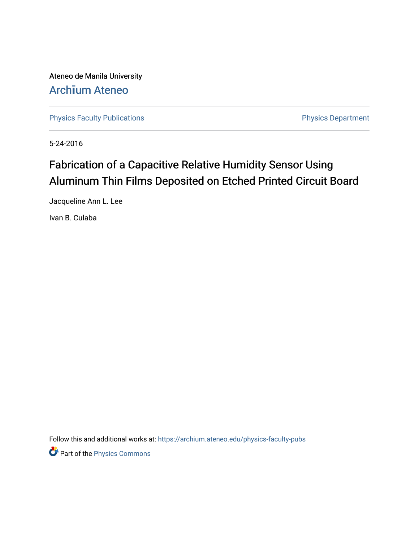Ateneo de Manila University Arch**ī**[um Ateneo](https://archium.ateneo.edu/) 

[Physics Faculty Publications](https://archium.ateneo.edu/physics-faculty-pubs) **Physics Department** 

5-24-2016

# Fabrication of a Capacitive Relative Humidity Sensor Using Aluminum Thin Films Deposited on Etched Printed Circuit Board

Jacqueline Ann L. Lee

Ivan B. Culaba

Follow this and additional works at: [https://archium.ateneo.edu/physics-faculty-pubs](https://archium.ateneo.edu/physics-faculty-pubs?utm_source=archium.ateneo.edu%2Fphysics-faculty-pubs%2F102&utm_medium=PDF&utm_campaign=PDFCoverPages) 

**P** Part of the [Physics Commons](http://network.bepress.com/hgg/discipline/193?utm_source=archium.ateneo.edu%2Fphysics-faculty-pubs%2F102&utm_medium=PDF&utm_campaign=PDFCoverPages)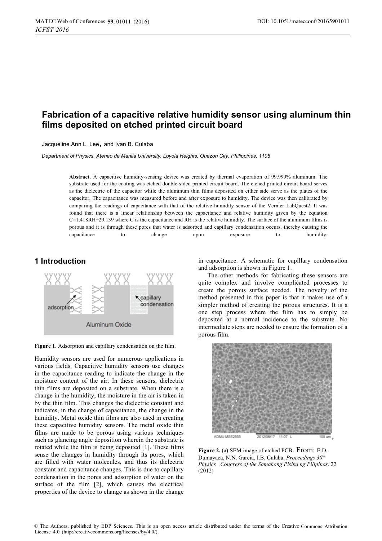## **Fabrication of a capacitive relative humidity sensor using aluminum thin films deposited on etched printed circuit board**

Jacqueline Ann L. Lee**,** and Ivan B. Culaba

*Department of Physics, Ateneo de Manila University, Loyola Heights, Quezon City, Philippines, 1108* 

**Abstract.** A capacitive humidity-sensing device was created by thermal evaporation of 99.999% aluminum. The substrate used for the coating was etched double-sided printed circuit board. The etched printed circuit board serves as the dielectric of the capacitor while the aluminum thin films deposited on either side serve as the plates of the capacitor. The capacitance was measured before and after exposure to humidity. The device was then calibrated by comparing the readings of capacitance with that of the relative humidity sensor of the Vernier LabQuest2. It was found that there is a linear relationship between the capacitance and relative humidity given by the equation C=1.418RH+29.139 where C is the capacitance and RH is the relative humidity. The surface of the aluminum films is porous and it is through these pores that water is adsorbed and capillary condensation occurs, thereby causing the capacitance to change upon exposure to humidity.

### **1 Introduction**



**Figure 1.** Adsorption and capillary condensation on the film.

Humidity sensors are used for numerous applications in various fields. Capacitive humidity sensors use changes in the capacitance reading to indicate the change in the moisture content of the air. In these sensors, dielectric thin films are deposited on a substrate. When there is a change in the humidity, the moisture in the air is taken in by the thin film. This changes the dielectric constant and indicates, in the change of capacitance, the change in the humidity. Metal oxide thin films are also used in creating these capacitive humidity sensors. The metal oxide thin films are made to be porous using various techniques such as glancing angle deposition wherein the substrate is rotated while the film is being deposited [1]. These films sense the changes in humidity through its pores, which are filled with water molecules, and thus its dielectric constant and capacitance changes. This is due to capillary condensation in the pores and adsorption of water on the surface of the film [2], which causes the electrical properties of the device to change as shown in the change in capacitance. A schematic for capillary condensation and adsorption is shown in Figure 1.

The other methods for fabricating these sensors are quite complex and involve complicated processes to create the porous surface needed. The novelty of the method presented in this paper is that it makes use of a simpler method of creating the porous structures. It is a one step process where the film has to simply be deposited at a normal incidence to the substrate. No intermediate steps are needed to ensure the formation of a porous film.



**Figure 2.** (a**)** SEM image of etched PCB. From: E.D. Dumayaca, N.N. Garcia, I.B. Culaba. *Proceedings 30th Physics Congress of the Samahang Pisika ng Pilipinas*. 22 (2012)

© The Authors, published by EDP Sciences. This is an open access article distributed under the terms of the Creative Commons Attribution License 4.0 [\(http://creativecommons.org/licenses/by/4.0/\).](http://creativecommons.org/licenses/by/4.0/)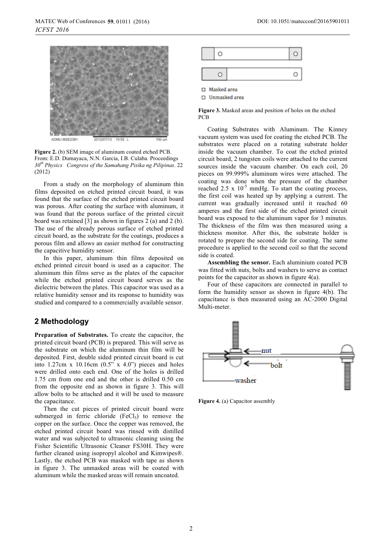

**Figure 2.** (b) SEM image of aluminum coated etched PCB. From: E.D. Dumayaca, N.N. Garcia, I.B. Culaba. Proceedings *30th Physics Congress of the Samahang Pisika ng Pilipinas*. 22 (2012)

From a study on the morphology of aluminum thin films deposited on etched printed circuit board, it was found that the surface of the etched printed circuit board was porous. After coating the surface with aluminum, it was found that the porous surface of the printed circuit board was retained [3] as shown in figures 2 (a) and 2 (b). The use of the already porous surface of etched printed circuit board, as the substrate for the coatings, produces a porous film and allows an easier method for constructing the capacitive humidity sensor.

In this paper, aluminum thin films deposited on etched printed circuit board is used as a capacitor. The aluminum thin films serve as the plates of the capacitor while the etched printed circuit board serves as the dielectric between the plates. This capacitor was used as a relative humidity sensor and its response to humidity was studied and compared to a commercially available sensor.

#### **2 Methodology**

**Preparation of Substrates.** To create the capacitor, the printed circuit board (PCB) is prepared. This will serve as the substrate on which the aluminum thin film will be deposited. First, double sided printed circuit board is cut into 1.27cm x 10.16cm  $(0.5" \times 4.0")$  pieces and holes were drilled onto each end. One of the holes is drilled 1.75 cm from one end and the other is drilled 0.50 cm from the opposite end as shown in figure 3. This will allow bolts to be attached and it will be used to measure the capacitance.

Then the cut pieces of printed circuit board were submerged in ferric chloride  $(FeCl<sub>3</sub>)$  to remove the copper on the surface. Once the copper was removed, the etched printed circuit board was rinsed with distilled water and was subjected to ultrasonic cleaning using the Fisher Scientific Ultrasonic Cleaner FS30H. They were further cleaned using isopropyl alcohol and Kimwipes®. Lastly, the etched PCB was masked with tape as shown in figure 3. The unmasked areas will be coated with aluminum while the masked areas will remain uncoated.



□ Unmasked area

**Figure 3.** Masked areas and position of holes on the etched PCB

Coating Substrates with Aluminum. The Kinney vacuum system was used for coating the etched PCB. The substrates were placed on a rotating substrate holder inside the vacuum chamber. To coat the etched printed circuit board, 2 tungsten coils were attached to the current sources inside the vacuum chamber. On each coil, 20 pieces on 99.999% aluminum wires were attached. The coating was done when the pressure of the chamber reached 2.5 x  $10^{-5}$  mmHg. To start the coating process, the first coil was heated up by applying a current. The current was gradually increased until it reached 60 amperes and the first side of the etched printed circuit board was exposed to the aluminum vapor for 3 minutes. The thickness of the film was then measured using a thickness monitor. After this, the substrate holder is rotated to prepare the second side for coating. The same procedure is applied to the second coil so that the second side is coated.

**Assembling the sensor.** Each aluminium coated PCB was fitted with nuts, bolts and washers to serve as contact points for the capacitor as shown in figure 4(a).

Four of these capacitors are connected in parallel to form the humidity sensor as shown in figure 4(b). The capacitance is then measured using an AC-2000 Digital Multi-meter.



**Figure 4.** (a) Capacitor assembly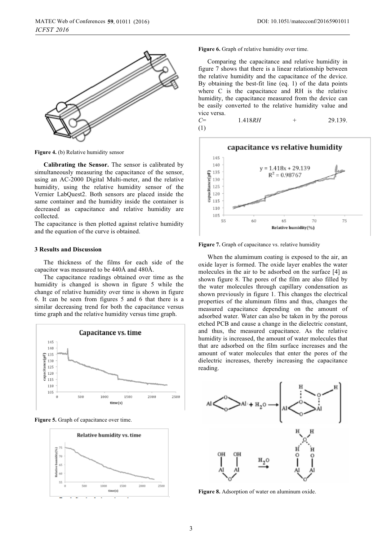

**Figure 4.** (b) Relative humidity sensor

**Calibrating the Sensor.** The sensor is calibrated by simultaneously measuring the capacitance of the sensor, using an AC-2000 Digital Multi-meter, and the relative humidity, using the relative humidity sensor of the Vernier LabQuest2. Both sensors are placed inside the same container and the humidity inside the container is decreased as capacitance and relative humidity are collected.

The capacitance is then plotted against relative humidity and the equation of the curve is obtained.

#### **3 Results and Discussion**

The thickness of the films for each side of the capacitor was measured to be 440Å and 480Å.

The capacitance readings obtained over time as the humidity is changed is shown in figure 5 while the change of relative humidity over time is shown in figure 6. It can be seen from figures 5 and 6 that there is a similar decreasing trend for both the capacitance versus time graph and the relative humidity versus time graph.







**Figure 6.** Graph of relative humidity over time.

Comparing the capacitance and relative humidity in figure 7 shows that there is a linear relationship between the relative humidity and the capacitance of the device. By obtaining the best-fit line (eq. 1) of the data points where C is the capacitance and RH is the relative humidity, the capacitance measured from the device can be easily converted to the relative humidity value and vice versa.

*C*= 1.418*RH* + 29.139. (1)



Figure 7. Graph of capacitance vs. relative humidity

When the alumimum coating is exposed to the air, an oxide layer is formed. The oxide layer enables the water molecules in the air to be adsorbed on the surface [4] as shown figure 8. The pores of the film are also filled by the water molecules through capillary condensation as shown previously in figure 1. This changes the electrical properties of the aluminum films and thus, changes the measured capacitance depending on the amount of adsorbed water. Water can also be taken in by the porous etched PCB and cause a change in the dielectric constant, and thus, the measured capacitance. As the relative humidity is increased, the amount of water molecules that that are adsorbed on the film surface increases and the amount of water molecules that enter the pores of the dielectric increases, thereby increasing the capacitance reading.



**Figure 8.** Adsorption of water on aluminum oxide.